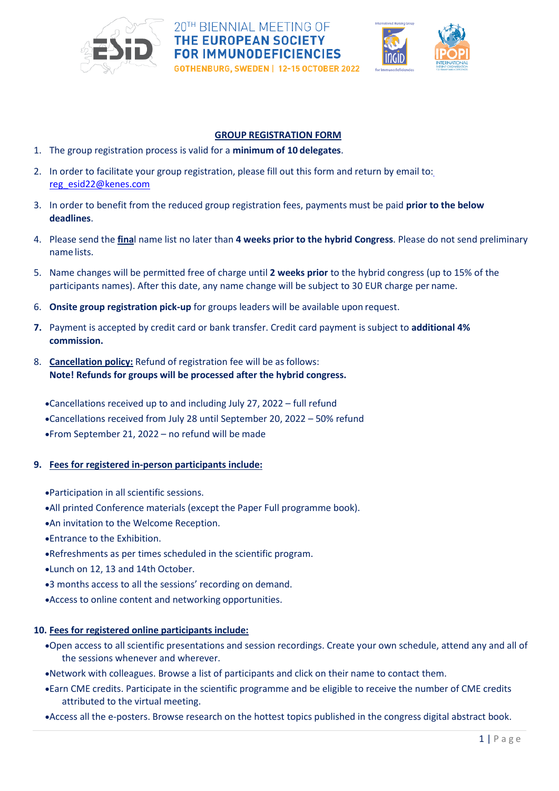

# 20TH BIENNIAL MEETING OF THE EUROPEAN SOCIETY **FOR IMMUNODEFICIENCIES**

GOTHENBURG, SWEDEN | 12-15 OCTOBER 2022



#### **GROUP REGISTRATION FORM**

- 1. The group registration process is valid for a **minimum of 10 delegates**.
- 2. In order to facilitate your group registration, please fill out this form and return by email to: [reg\\_esid22@kenes.com](mailto:reg_esid22@kenes.com)
- 3. In order to benefit from the reduced group registration fees, payments must be paid **prior to the below deadlines**.
- 4. Please send the **fina**l name list no later than **4 weeks prior to the hybrid Congress**. Please do not send preliminary name lists.
- 5. Name changes will be permitted free of charge until **2 weeks prior** to the hybrid congress (up to 15% of the participants names). After this date, any name change will be subject to 30 EUR charge per name.
- 6. **Onsite group registration pick-up** for groups leaders will be available upon request.
- **7.** Payment is accepted by credit card or bank transfer. Credit card payment is subject to **additional 4% commission.**
- 8. **Cancellation policy:** Refund of registration fee will be as follows: **Note! Refunds for groups will be processed after the hybrid congress.**

•Cancellations received up to and including July 27, 2022 – full refund •Cancellations received from July 28 until September 20, 2022 – 50% refund •From September 21, 2022 – no refund will be made

## **9. Fees for registered in-person participants include:**

- •Participation in all scientific sessions.
- •All printed Conference materials (except the Paper Full programme book).
- •An invitation to the Welcome Reception.
- •Entrance to the Exhibition.
- •Refreshments as per times scheduled in the scientific program.
- •Lunch on 12, 13 and 14th October.
- •3 months access to all the sessions' recording on demand.
- •Access to online content and networking opportunities.

# **10. Fees for registered online participants include:**

- •Open access to all scientific presentations and session recordings. Create your own schedule, attend any and all of the sessions whenever and wherever.
- •Network with colleagues. Browse a list of participants and click on their name to contact them.
- •Earn CME credits. Participate in the scientific programme and be eligible to receive the number of CME credits attributed to the virtual meeting.

•Access all the e-posters. Browse research on the hottest topics published in the congress digital abstract book.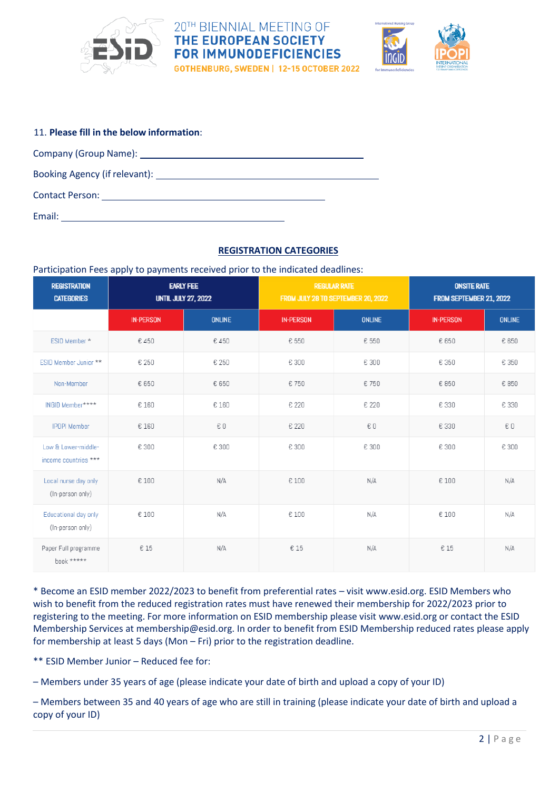

# 20TH BIENNIAL MEETING OF **THE EUROPEAN SOCIETY FOR IMMUNODEFICIENCIES**

**GOTHENBURG, SWEDEN | 12-15 OCTOBER 2022** 



| 11. Please fill in the below information: |  |  |  |  |  |
|-------------------------------------------|--|--|--|--|--|
| Company (Group Name): <u>company</u>      |  |  |  |  |  |
|                                           |  |  |  |  |  |
|                                           |  |  |  |  |  |
| Email:                                    |  |  |  |  |  |

### **REGISTRATION CATEGORIES**

Participation Fees apply to payments received prior to the indicated deadlines:

| <b>REGISTRATION</b><br><b>CATEGORIES</b>    | <b>EARLY FEE</b><br><b>UNTIL JULY 27, 2022</b> |               | <b>REGULAR RATE</b><br>FROM JULY 28 TO SEPTEMBER 20, 2022 |               | <b>ONSITE RATE</b><br>FROM SEPTEMBER 21, 2022 |               |
|---------------------------------------------|------------------------------------------------|---------------|-----------------------------------------------------------|---------------|-----------------------------------------------|---------------|
|                                             | <b>IN-PERSON</b>                               | <b>ONLINE</b> | <b>IN-PERSON</b>                                          | <b>ONLINE</b> | <b>IN-PERSON</b>                              | <b>ONLINE</b> |
| ESID Member *                               | €450                                           | €450          | € 550                                                     | € 550         | € 650                                         | € 650         |
| ESID Member Junior **                       | € 250                                          | € 250         | € 300                                                     | € 300         | € 350                                         | € 350         |
| Non-Member                                  | € 650                                          | € 650         | € 750                                                     | € 750         | € 850                                         | € 850         |
| INGID Member****                            | € 160                                          | € 160         | € 220                                                     | € 220         | € 330                                         | € 330         |
| <b>IPOPI Member</b>                         | € 160                                          | €O            | € 220                                                     | €O            | € 330                                         | €O            |
| Low & Lower-middle-<br>income countries *** | € 300                                          | € 300         | € 300                                                     | € 300         | € 300                                         | € 300         |
| Local nurse day only<br>(In-person only)    | € 100                                          | N/A           | € 100                                                     | N/A           | € 100                                         | N/A           |
| Educational day only<br>(In-person only)    | € 100                                          | N/A           | € 100                                                     | N/A           | € 100                                         | N/A           |
| Paper Full programme<br>book *****          | € 15                                           | N/A           | € 15                                                      | N/A           | € 15                                          | N/A           |

\* Become an ESID member 2022/2023 to benefit from preferential rates – visit www.esid.org. ESID Members who wish to benefit from the reduced registration rates must have renewed their membership for 2022/2023 prior to registering to the meeting. For more information on ESID membership please visit www.esid.org or contact the ESID Membership Services at membership@esid.org. In order to benefit from ESID Membership reduced rates please apply for membership at least 5 days (Mon – Fri) prior to the registration deadline.

\*\* ESID Member Junior – Reduced fee for:

– Members under 35 years of age (please indicate your date of birth and upload a copy of your ID)

– Members between 35 and 40 years of age who are still in training (please indicate your date of birth and upload a copy of your ID)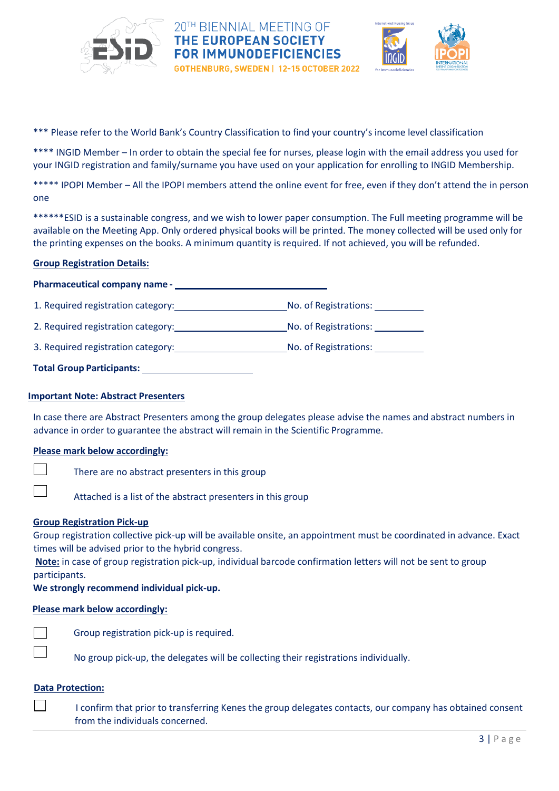



\*\*\* Please refer to the World Bank's Country Classification to find your country's income level classification

\*\*\*\* INGID Member – In order to obtain the special fee for nurses, please login with the email address you used for your INGID registration and family/surname you have used on your application for enrolling to INGID Membership.

\*\*\*\*\* IPOPI Member - All the IPOPI members attend the online event for free, even if they don't attend the in person one

\*\*\*\*\*\*ESID is a sustainable congress, and we wish to lower paper consumption. The Full meeting programme will be available on the Meeting App. Only ordered physical books will be printed. The money collected will be used only for the printing expenses on the books. A minimum quantity is required. If not achieved, you will be refunded.

#### **Group Registration Details:**

#### **Pharmaceutical company name -**

1. Required registration category: No. of Registrations:

2. Required registration category: No. of Registrations:

3. Required registration category: No. of Registrations:

| <b>Total Group Participants:</b> |  |
|----------------------------------|--|
|                                  |  |

#### **Important Note: Abstract Presenters**

In case there are Abstract Presenters among the group delegates please advise the names and abstract numbers in advance in order to guarantee the abstract will remain in the Scientific Programme.

#### **Please mark below accordingly:**

There are no abstract presenters in this group

Attached is a list of the abstract presenters in this group

#### **Group Registration Pick-up**

Group registration collective pick-up will be available onsite, an appointment must be coordinated in advance. Exact times will be advised prior to the hybrid congress.

**Note:** in case of group registration pick-up, individual barcode confirmation letters will not be sent to group participants.

**We strongly recommend individual pick-up.**

#### **Please mark below accordingly:**

Group registration pick-up is required.

No group pick-up, the delegates will be collecting their registrations individually.

#### **Data Protection:**

 $\mathcal{L}$ I confirm that prior to transferring Kenes the group delegates contacts, our company has obtained consent from the individuals concerned.